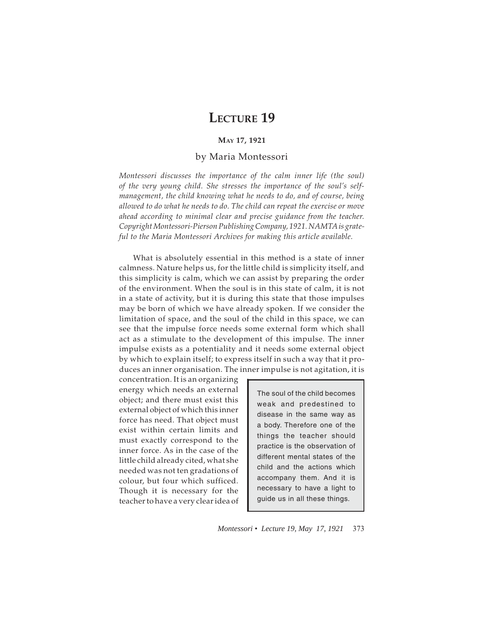## **LECTURE 19**

## **MAY 17, 1921**

## by Maria Montessori

*Montessori discusses the importance of the calm inner life (the soul) of the very young child. She stresses the importance of the soul's selfmanagement, the child knowing what he needs to do, and of course, being allowed to do what he needs to do. The child can repeat the exercise or move ahead according to minimal clear and precise guidance from the teacher. Copyright Montessori-Pierson Publishing Company, 1921. NAMTA is grateful to the Maria Montessori Archives for making this article available.*

What is absolutely essential in this method is a state of inner calmness. Nature helps us, for the little child is simplicity itself, and this simplicity is calm, which we can assist by preparing the order of the environment. When the soul is in this state of calm, it is not in a state of activity, but it is during this state that those impulses may be born of which we have already spoken. If we consider the limitation of space, and the soul of the child in this space, we can see that the impulse force needs some external form which shall act as a stimulate to the development of this impulse. The inner impulse exists as a potentiality and it needs some external object by which to explain itself; to express itself in such a way that it produces an inner organisation. The inner impulse is not agitation, it is

concentration. It is an organizing energy which needs an external object; and there must exist this external object of which this inner force has need. That object must exist within certain limits and must exactly correspond to the inner force. As in the case of the little child already cited, what she needed was not ten gradations of colour, but four which sufficed. Though it is necessary for the teacher to have a very clear idea of

The soul of the child becomes weak and predestined to disease in the same way as a body. Therefore one of the things the teacher should practice is the observation of different mental states of the child and the actions which accompany them. And it is necessary to have a light to guide us in all these things.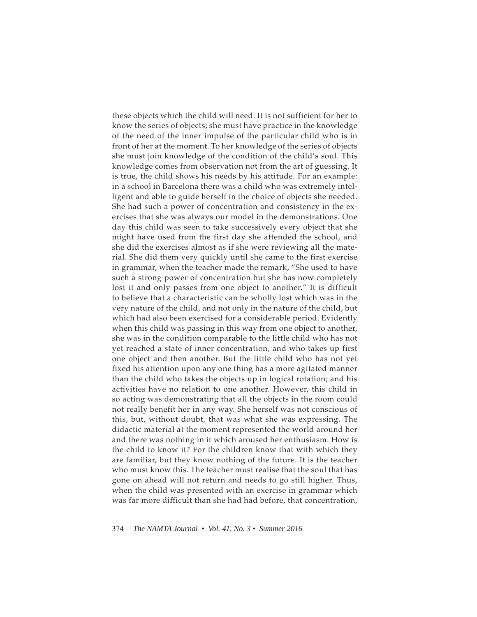these objects which the child will need. It is not sufficient for her to know the series of objects; she must have practice in the knowledge of the need of the inner impulse of the particular child who is in front of her at the moment. To her knowledge of the series of objects she must join knowledge of the condition of the child's soul. This knowledge comes from observation not from the art of guessing. It is true, the child shows his needs by his attitude. For an example: in a school in Barcelona there was a child who was extremely intelligent and able to guide herself in the choice of objects she needed. She had such a power of concentration and consistency in the exercises that she was always our model in the demonstrations. One day this child was seen to take successively every object that she might have used from the first day she attended the school, and she did the exercises almost as if she were reviewing all the material. She did them very quickly until she came to the first exercise in grammar, when the teacher made the remark, "She used to have such a strong power of concentration but she has now completely lost it and only passes from one object to another." It is difficult to believe that a characteristic can be wholly lost which was in the very nature of the child, and not only in the nature of the child, but which had also been exercised for a considerable period. Evidently when this child was passing in this way from one object to another, she was in the condition comparable to the little child who has not yet reached a state of inner concentration, and who takes up first one object and then another. But the little child who has not yet fixed his attention upon any one thing has a more agitated manner than the child who takes the objects up in logical rotation; and his activities have no relation to one another. However, this child in so acting was demonstrating that all the objects in the room could not really benefit her in any way. She herself was not conscious of this, but, without doubt, that was what she was expressing. The didactic material at the moment represented the world around her and there was nothing in it which aroused her enthusiasm. How is the child to know it? For the children know that with which they are familiar, but they know nothing of the future. It is the teacher who must know this. The teacher must realise that the soul that has gone on ahead will not return and needs to go still higher. Thus, when the child was presented with an exercise in grammar which was far more difficult than she had had before, that concentration,

374 *The NAMTA Journal • Vol. 41, No. 3 • Summer 2016*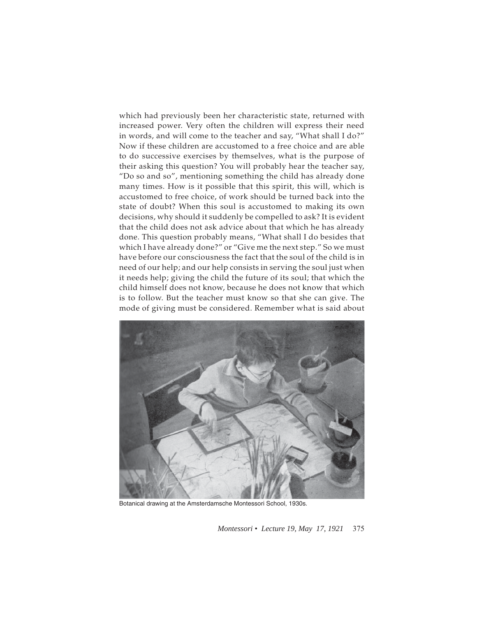which had previously been her characteristic state, returned with increased power. Very often the children will express their need in words, and will come to the teacher and say, "What shall I do?" Now if these children are accustomed to a free choice and are able to do successive exercises by themselves, what is the purpose of their asking this question? You will probably hear the teacher say, "Do so and so", mentioning something the child has already done many times. How is it possible that this spirit, this will, which is accustomed to free choice, of work should be turned back into the state of doubt? When this soul is accustomed to making its own decisions, why should it suddenly be compelled to ask? It is evident that the child does not ask advice about that which he has already done. This question probably means, "What shall I do besides that which I have already done?" or "Give me the next step." So we must have before our consciousness the fact that the soul of the child is in need of our help; and our help consists in serving the soul just when it needs help; giving the child the future of its soul; that which the child himself does not know, because he does not know that which is to follow. But the teacher must know so that she can give. The mode of giving must be considered. Remember what is said about



Botanical drawing at the Amsterdamsche Montessori School, 1930s.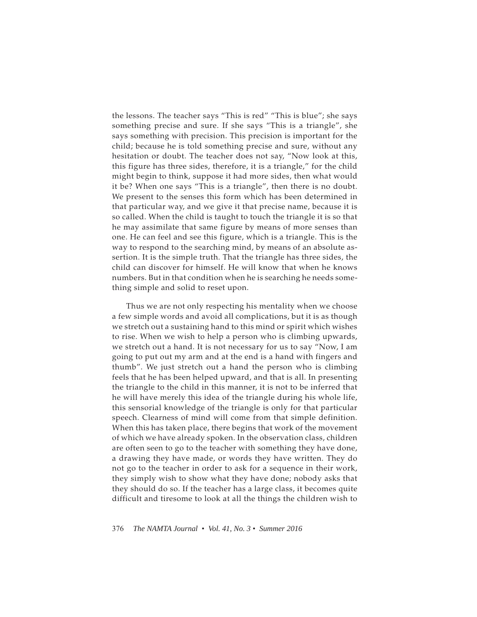the lessons. The teacher says "This is red" "This is blue"; she says something precise and sure. If she says "This is a triangle", she says something with precision. This precision is important for the child; because he is told something precise and sure, without any hesitation or doubt. The teacher does not say, "Now look at this, this figure has three sides, therefore, it is a triangle," for the child might begin to think, suppose it had more sides, then what would it be? When one says "This is a triangle", then there is no doubt. We present to the senses this form which has been determined in that particular way, and we give it that precise name, because it is so called. When the child is taught to touch the triangle it is so that he may assimilate that same figure by means of more senses than one. He can feel and see this figure, which is a triangle. This is the way to respond to the searching mind, by means of an absolute assertion. It is the simple truth. That the triangle has three sides, the child can discover for himself. He will know that when he knows numbers. But in that condition when he is searching he needs something simple and solid to reset upon.

Thus we are not only respecting his mentality when we choose a few simple words and avoid all complications, but it is as though we stretch out a sustaining hand to this mind or spirit which wishes to rise. When we wish to help a person who is climbing upwards, we stretch out a hand. It is not necessary for us to say "Now, I am going to put out my arm and at the end is a hand with fingers and thumb". We just stretch out a hand the person who is climbing feels that he has been helped upward, and that is all. In presenting the triangle to the child in this manner, it is not to be inferred that he will have merely this idea of the triangle during his whole life, this sensorial knowledge of the triangle is only for that particular speech. Clearness of mind will come from that simple definition. When this has taken place, there begins that work of the movement of which we have already spoken. In the observation class, children are often seen to go to the teacher with something they have done, a drawing they have made, or words they have written. They do not go to the teacher in order to ask for a sequence in their work, they simply wish to show what they have done; nobody asks that they should do so. If the teacher has a large class, it becomes quite difficult and tiresome to look at all the things the children wish to

376 *The NAMTA Journal • Vol. 41, No. 3 • Summer 2016*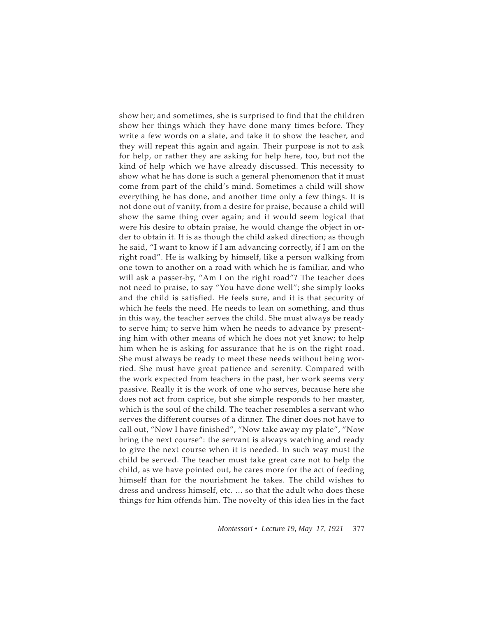show her; and sometimes, she is surprised to find that the children show her things which they have done many times before. They write a few words on a slate, and take it to show the teacher, and they will repeat this again and again. Their purpose is not to ask for help, or rather they are asking for help here, too, but not the kind of help which we have already discussed. This necessity to show what he has done is such a general phenomenon that it must come from part of the child's mind. Sometimes a child will show everything he has done, and another time only a few things. It is not done out of vanity, from a desire for praise, because a child will show the same thing over again; and it would seem logical that were his desire to obtain praise, he would change the object in order to obtain it. It is as though the child asked direction; as though he said, "I want to know if I am advancing correctly, if I am on the right road". He is walking by himself, like a person walking from one town to another on a road with which he is familiar, and who will ask a passer-by, "Am I on the right road"? The teacher does not need to praise, to say "You have done well"; she simply looks and the child is satisfied. He feels sure, and it is that security of which he feels the need. He needs to lean on something, and thus in this way, the teacher serves the child. She must always be ready to serve him; to serve him when he needs to advance by presenting him with other means of which he does not yet know; to help him when he is asking for assurance that he is on the right road. She must always be ready to meet these needs without being worried. She must have great patience and serenity. Compared with the work expected from teachers in the past, her work seems very passive. Really it is the work of one who serves, because here she does not act from caprice, but she simple responds to her master, which is the soul of the child. The teacher resembles a servant who serves the different courses of a dinner. The diner does not have to call out, "Now I have finished", "Now take away my plate", "Now bring the next course": the servant is always watching and ready to give the next course when it is needed. In such way must the child be served. The teacher must take great care not to help the child, as we have pointed out, he cares more for the act of feeding himself than for the nourishment he takes. The child wishes to dress and undress himself, etc. … so that the adult who does these things for him offends him. The novelty of this idea lies in the fact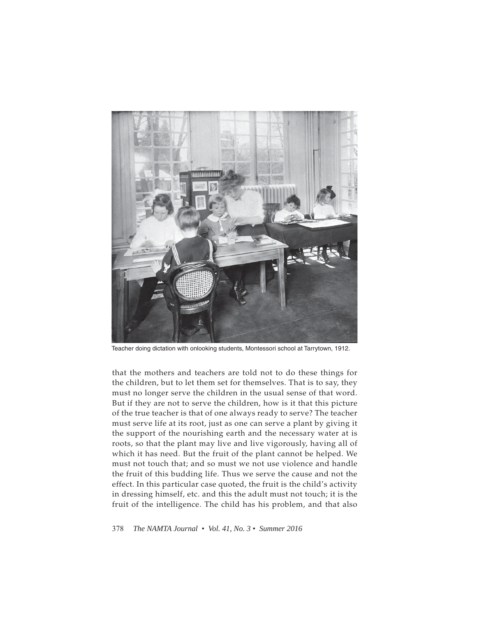

Teacher doing dictation with onlooking students, Montessori school at Tarrytown, 1912.

that the mothers and teachers are told not to do these things for the children, but to let them set for themselves. That is to say, they must no longer serve the children in the usual sense of that word. But if they are not to serve the children, how is it that this picture of the true teacher is that of one always ready to serve? The teacher must serve life at its root, just as one can serve a plant by giving it the support of the nourishing earth and the necessary water at is roots, so that the plant may live and live vigorously, having all of which it has need. But the fruit of the plant cannot be helped. We must not touch that; and so must we not use violence and handle the fruit of this budding life. Thus we serve the cause and not the effect. In this particular case quoted, the fruit is the child's activity in dressing himself, etc. and this the adult must not touch; it is the fruit of the intelligence. The child has his problem, and that also

378 *The NAMTA Journal • Vol. 41, No. 3 • Summer 2016*